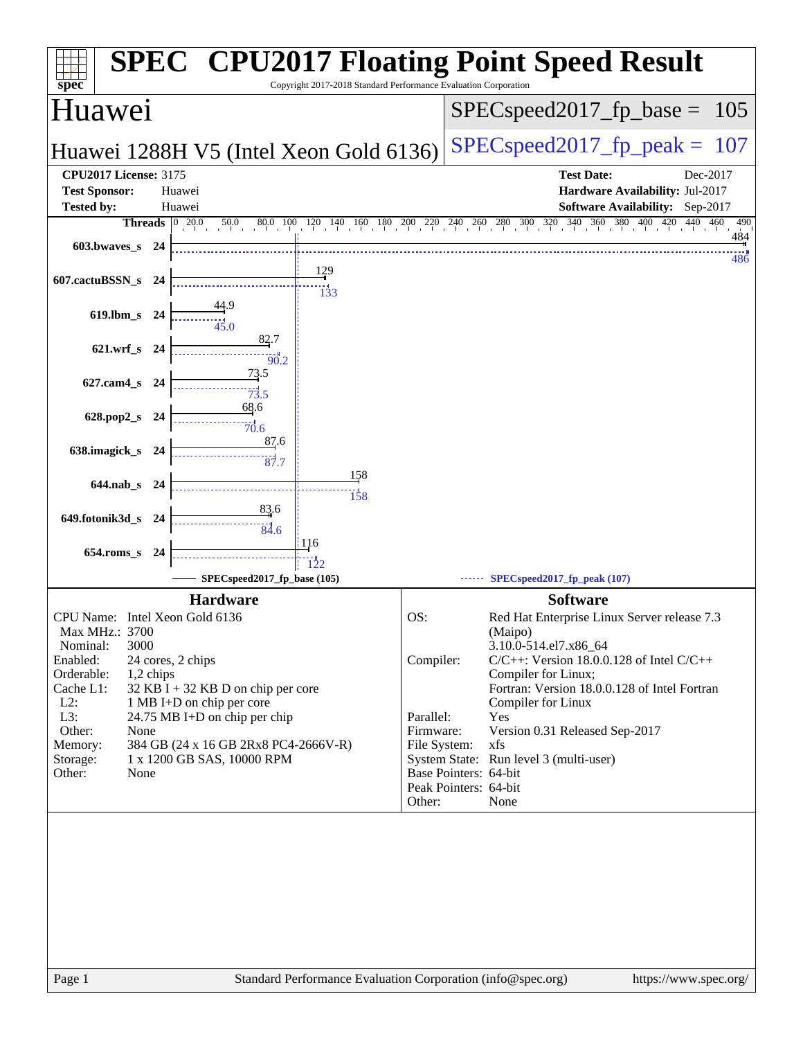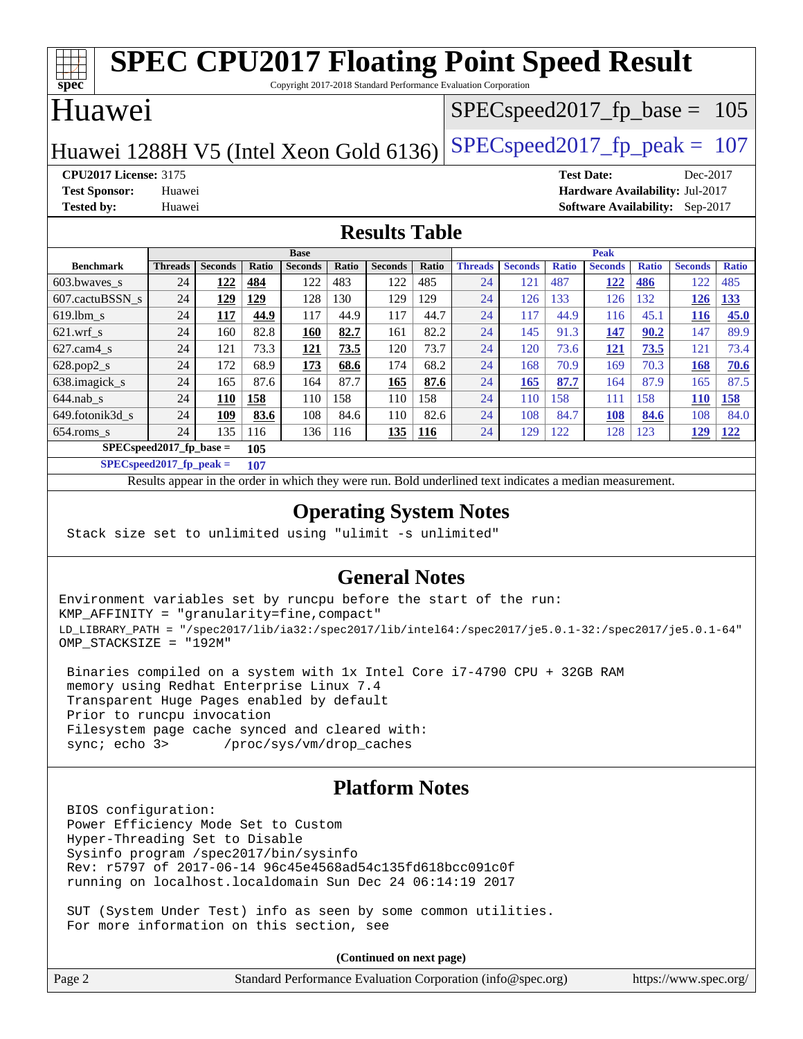#### **[spec](http://www.spec.org/) [SPEC CPU2017 Floating Point Speed Result](http://www.spec.org/auto/cpu2017/Docs/result-fields.html#SPECCPU2017FloatingPointSpeedResult)** Copyright 2017-2018 Standard Performance Evaluation Corporation Huawei Huawei 1288H V5 (Intel Xeon Gold 6136) SPECspeed 2017 fp peak = 107 SPECspeed2017 fp base =  $105$ **[CPU2017 License:](http://www.spec.org/auto/cpu2017/Docs/result-fields.html#CPU2017License)** 3175 **[Test Date:](http://www.spec.org/auto/cpu2017/Docs/result-fields.html#TestDate)** Dec-2017 **[Test Sponsor:](http://www.spec.org/auto/cpu2017/Docs/result-fields.html#TestSponsor)** Huawei **[Hardware Availability:](http://www.spec.org/auto/cpu2017/Docs/result-fields.html#HardwareAvailability)** Jul-2017 **[Tested by:](http://www.spec.org/auto/cpu2017/Docs/result-fields.html#Testedby)** Huawei **[Software Availability:](http://www.spec.org/auto/cpu2017/Docs/result-fields.html#SoftwareAvailability)** Sep-2017 **[Results Table](http://www.spec.org/auto/cpu2017/Docs/result-fields.html#ResultsTable) [Benchmark](http://www.spec.org/auto/cpu2017/Docs/result-fields.html#Benchmark) [Threads](http://www.spec.org/auto/cpu2017/Docs/result-fields.html#Threads) [Seconds](http://www.spec.org/auto/cpu2017/Docs/result-fields.html#Seconds) [Ratio](http://www.spec.org/auto/cpu2017/Docs/result-fields.html#Ratio) [Seconds](http://www.spec.org/auto/cpu2017/Docs/result-fields.html#Seconds) [Ratio](http://www.spec.org/auto/cpu2017/Docs/result-fields.html#Ratio) [Seconds](http://www.spec.org/auto/cpu2017/Docs/result-fields.html#Seconds) [Ratio](http://www.spec.org/auto/cpu2017/Docs/result-fields.html#Ratio) Base [Threads](http://www.spec.org/auto/cpu2017/Docs/result-fields.html#Threads) [Seconds](http://www.spec.org/auto/cpu2017/Docs/result-fields.html#Seconds) [Ratio](http://www.spec.org/auto/cpu2017/Docs/result-fields.html#Ratio) [Seconds](http://www.spec.org/auto/cpu2017/Docs/result-fields.html#Seconds) [Ratio](http://www.spec.org/auto/cpu2017/Docs/result-fields.html#Ratio) [Seconds](http://www.spec.org/auto/cpu2017/Docs/result-fields.html#Seconds) [Ratio](http://www.spec.org/auto/cpu2017/Docs/result-fields.html#Ratio) Peak** [603.bwaves\\_s](http://www.spec.org/auto/cpu2017/Docs/benchmarks/603.bwaves_s.html) 24 **[122](http://www.spec.org/auto/cpu2017/Docs/result-fields.html#Median) [484](http://www.spec.org/auto/cpu2017/Docs/result-fields.html#Median)** 122 483 122 485 24 121 487 **[122](http://www.spec.org/auto/cpu2017/Docs/result-fields.html#Median) [486](http://www.spec.org/auto/cpu2017/Docs/result-fields.html#Median)** 122 485 [607.cactuBSSN\\_s](http://www.spec.org/auto/cpu2017/Docs/benchmarks/607.cactuBSSN_s.html) 24 **[129](http://www.spec.org/auto/cpu2017/Docs/result-fields.html#Median) [129](http://www.spec.org/auto/cpu2017/Docs/result-fields.html#Median)** 128 130 129 129 24 126 133 126 132 **[126](http://www.spec.org/auto/cpu2017/Docs/result-fields.html#Median) [133](http://www.spec.org/auto/cpu2017/Docs/result-fields.html#Median)** [619.lbm\\_s](http://www.spec.org/auto/cpu2017/Docs/benchmarks/619.lbm_s.html) 24 **[117](http://www.spec.org/auto/cpu2017/Docs/result-fields.html#Median) [44.9](http://www.spec.org/auto/cpu2017/Docs/result-fields.html#Median)** 117 44.9 117 44.7 24 117 44.9 116 45.1 **[116](http://www.spec.org/auto/cpu2017/Docs/result-fields.html#Median) [45.0](http://www.spec.org/auto/cpu2017/Docs/result-fields.html#Median)** [621.wrf\\_s](http://www.spec.org/auto/cpu2017/Docs/benchmarks/621.wrf_s.html) 24 160 82.8 **[160](http://www.spec.org/auto/cpu2017/Docs/result-fields.html#Median) [82.7](http://www.spec.org/auto/cpu2017/Docs/result-fields.html#Median)** 161 82.2 24 145 91.3 **[147](http://www.spec.org/auto/cpu2017/Docs/result-fields.html#Median) [90.2](http://www.spec.org/auto/cpu2017/Docs/result-fields.html#Median)** 147 89.9 [627.cam4\\_s](http://www.spec.org/auto/cpu2017/Docs/benchmarks/627.cam4_s.html) 24 121 73.3 **[121](http://www.spec.org/auto/cpu2017/Docs/result-fields.html#Median) [73.5](http://www.spec.org/auto/cpu2017/Docs/result-fields.html#Median)** 120 73.7 24 120 73.6 **[121](http://www.spec.org/auto/cpu2017/Docs/result-fields.html#Median) [73.5](http://www.spec.org/auto/cpu2017/Docs/result-fields.html#Median)** 121 73.4 [628.pop2\\_s](http://www.spec.org/auto/cpu2017/Docs/benchmarks/628.pop2_s.html) 24 172 68.9 **[173](http://www.spec.org/auto/cpu2017/Docs/result-fields.html#Median) [68.6](http://www.spec.org/auto/cpu2017/Docs/result-fields.html#Median)** 174 68.2 24 168 70.9 169 70.3 **[168](http://www.spec.org/auto/cpu2017/Docs/result-fields.html#Median) [70.6](http://www.spec.org/auto/cpu2017/Docs/result-fields.html#Median)** [638.imagick\\_s](http://www.spec.org/auto/cpu2017/Docs/benchmarks/638.imagick_s.html) 24 165 87.6 164 87.7 **[165](http://www.spec.org/auto/cpu2017/Docs/result-fields.html#Median) [87.6](http://www.spec.org/auto/cpu2017/Docs/result-fields.html#Median)** 24 **[165](http://www.spec.org/auto/cpu2017/Docs/result-fields.html#Median) [87.7](http://www.spec.org/auto/cpu2017/Docs/result-fields.html#Median)** 164 87.9 165 87.5 [644.nab\\_s](http://www.spec.org/auto/cpu2017/Docs/benchmarks/644.nab_s.html) 24 **[110](http://www.spec.org/auto/cpu2017/Docs/result-fields.html#Median) [158](http://www.spec.org/auto/cpu2017/Docs/result-fields.html#Median)** 110 158 110 158 24 110 158 111 158 **[110](http://www.spec.org/auto/cpu2017/Docs/result-fields.html#Median) [158](http://www.spec.org/auto/cpu2017/Docs/result-fields.html#Median)** [649.fotonik3d\\_s](http://www.spec.org/auto/cpu2017/Docs/benchmarks/649.fotonik3d_s.html) 24 **[109](http://www.spec.org/auto/cpu2017/Docs/result-fields.html#Median) [83.6](http://www.spec.org/auto/cpu2017/Docs/result-fields.html#Median)** 108 84.6 110 82.6 24 108 84.7 **[108](http://www.spec.org/auto/cpu2017/Docs/result-fields.html#Median) [84.6](http://www.spec.org/auto/cpu2017/Docs/result-fields.html#Median)** 108 84.0 [654.roms\\_s](http://www.spec.org/auto/cpu2017/Docs/benchmarks/654.roms_s.html) 24 135 116 136 116 **[135](http://www.spec.org/auto/cpu2017/Docs/result-fields.html#Median) [116](http://www.spec.org/auto/cpu2017/Docs/result-fields.html#Median)** 24 129 122 128 123 **[129](http://www.spec.org/auto/cpu2017/Docs/result-fields.html#Median) [122](http://www.spec.org/auto/cpu2017/Docs/result-fields.html#Median) [SPECspeed2017\\_fp\\_base =](http://www.spec.org/auto/cpu2017/Docs/result-fields.html#SPECspeed2017fpbase) 105 [SPECspeed2017\\_fp\\_peak =](http://www.spec.org/auto/cpu2017/Docs/result-fields.html#SPECspeed2017fppeak) 107**

Results appear in the [order in which they were run.](http://www.spec.org/auto/cpu2017/Docs/result-fields.html#RunOrder) Bold underlined text [indicates a median measurement](http://www.spec.org/auto/cpu2017/Docs/result-fields.html#Median).

#### **[Operating System Notes](http://www.spec.org/auto/cpu2017/Docs/result-fields.html#OperatingSystemNotes)**

Stack size set to unlimited using "ulimit -s unlimited"

#### **[General Notes](http://www.spec.org/auto/cpu2017/Docs/result-fields.html#GeneralNotes)**

Environment variables set by runcpu before the start of the run: KMP\_AFFINITY = "granularity=fine,compact" LD\_LIBRARY\_PATH = "/spec2017/lib/ia32:/spec2017/lib/intel64:/spec2017/je5.0.1-32:/spec2017/je5.0.1-64" OMP\_STACKSIZE = "192M"

 Binaries compiled on a system with 1x Intel Core i7-4790 CPU + 32GB RAM memory using Redhat Enterprise Linux 7.4 Transparent Huge Pages enabled by default Prior to runcpu invocation Filesystem page cache synced and cleared with: sync; echo 3> /proc/sys/vm/drop\_caches

#### **[Platform Notes](http://www.spec.org/auto/cpu2017/Docs/result-fields.html#PlatformNotes)**

 BIOS configuration: Power Efficiency Mode Set to Custom Hyper-Threading Set to Disable Sysinfo program /spec2017/bin/sysinfo Rev: r5797 of 2017-06-14 96c45e4568ad54c135fd618bcc091c0f running on localhost.localdomain Sun Dec 24 06:14:19 2017

 SUT (System Under Test) info as seen by some common utilities. For more information on this section, see

**(Continued on next page)**

| Page 2 | Standard Performance Evaluation Corporation (info@spec.org) | https://www.spec.org/ |
|--------|-------------------------------------------------------------|-----------------------|
|--------|-------------------------------------------------------------|-----------------------|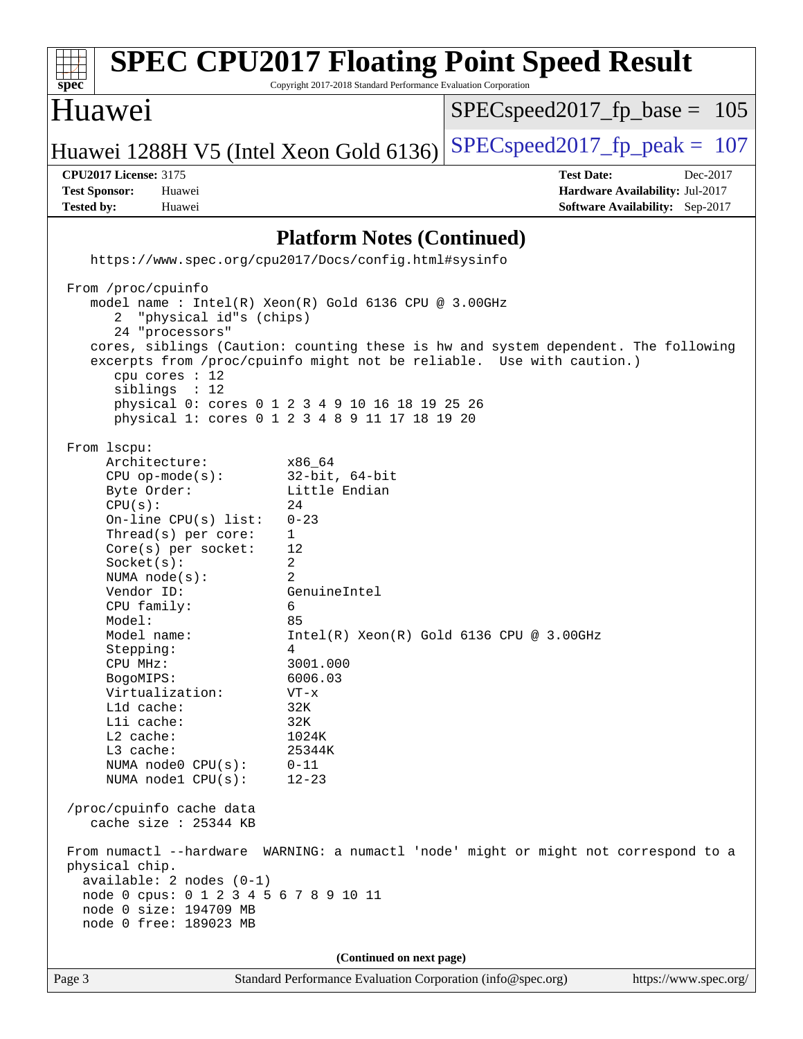| <b>SPEC CPU2017 Floating Point Speed Result</b><br>spec                                                                                                                                                                                                                                                                                                                                                                             | Copyright 2017-2018 Standard Performance Evaluation Corporation                                                                                                                                                     |                                          |                                                                                |
|-------------------------------------------------------------------------------------------------------------------------------------------------------------------------------------------------------------------------------------------------------------------------------------------------------------------------------------------------------------------------------------------------------------------------------------|---------------------------------------------------------------------------------------------------------------------------------------------------------------------------------------------------------------------|------------------------------------------|--------------------------------------------------------------------------------|
| Huawei                                                                                                                                                                                                                                                                                                                                                                                                                              |                                                                                                                                                                                                                     | $SPEC speed2017_f p\_base = 105$         |                                                                                |
| Huawei 1288H V5 (Intel Xeon Gold 6136)                                                                                                                                                                                                                                                                                                                                                                                              |                                                                                                                                                                                                                     | $SPEC speed2017_fp\_peak = 107$          |                                                                                |
| <b>CPU2017 License: 3175</b><br><b>Test Sponsor:</b><br>Huawei<br><b>Tested by:</b><br>Huawei                                                                                                                                                                                                                                                                                                                                       |                                                                                                                                                                                                                     | <b>Test Date:</b>                        | Dec-2017<br>Hardware Availability: Jul-2017<br>Software Availability: Sep-2017 |
|                                                                                                                                                                                                                                                                                                                                                                                                                                     | <b>Platform Notes (Continued)</b>                                                                                                                                                                                   |                                          |                                                                                |
| https://www.spec.org/cpu2017/Docs/config.html#sysinfo                                                                                                                                                                                                                                                                                                                                                                               |                                                                                                                                                                                                                     |                                          |                                                                                |
| From /proc/cpuinfo<br>model name: Intel(R) Xeon(R) Gold 6136 CPU @ 3.00GHz<br>"physical id"s (chips)<br>2<br>24 "processors"<br>cores, siblings (Caution: counting these is hw and system dependent. The following<br>excerpts from /proc/cpuinfo might not be reliable. Use with caution.)<br>cpu cores : 12<br>siblings : 12<br>physical 0: cores 0 1 2 3 4 9 10 16 18 19 25 26<br>physical 1: cores 0 1 2 3 4 8 9 11 17 18 19 20 |                                                                                                                                                                                                                     |                                          |                                                                                |
| From 1scpu:<br>Architecture:<br>$CPU$ op-mode( $s$ ):<br>Byte Order:<br>CPU(s):<br>On-line $CPU(s)$ list:<br>Thread(s) per core:<br>Core(s) per socket:<br>Socket(s):<br>NUMA $node(s):$<br>Vendor ID:<br>CPU family:<br>Model:<br>Model name:<br>Stepping:<br>CPU MHz:<br>BogoMIPS:<br>Virtualization:<br>Lld cache:<br>Lli cache:<br>$L2$ cache:<br>L3 cache:<br>NUMA node0 CPU(s):<br>NUMA nodel CPU(s):                         | x86_64<br>$32$ -bit, $64$ -bit<br>Little Endian<br>24<br>$0 - 23$<br>1<br>12<br>2<br>2<br>GenuineIntel<br>6<br>85<br>4<br>3001.000<br>6006.03<br>$VT - x$<br>32K<br>32K<br>1024K<br>25344K<br>$0 - 11$<br>$12 - 23$ | Intel(R) Xeon(R) Gold 6136 CPU @ 3.00GHz |                                                                                |
| /proc/cpuinfo cache data<br>cache size : 25344 KB<br>From numactl --hardware WARNING: a numactl 'node' might or might not correspond to a<br>physical chip.<br>$available: 2 nodes (0-1)$<br>node 0 cpus: 0 1 2 3 4 5 6 7 8 9 10 11<br>node 0 size: 194709 MB<br>node 0 free: 189023 MB                                                                                                                                             |                                                                                                                                                                                                                     |                                          |                                                                                |
|                                                                                                                                                                                                                                                                                                                                                                                                                                     | (Continued on next page)                                                                                                                                                                                            |                                          |                                                                                |
| Page 3                                                                                                                                                                                                                                                                                                                                                                                                                              | Standard Performance Evaluation Corporation (info@spec.org)                                                                                                                                                         |                                          | https://www.spec.org/                                                          |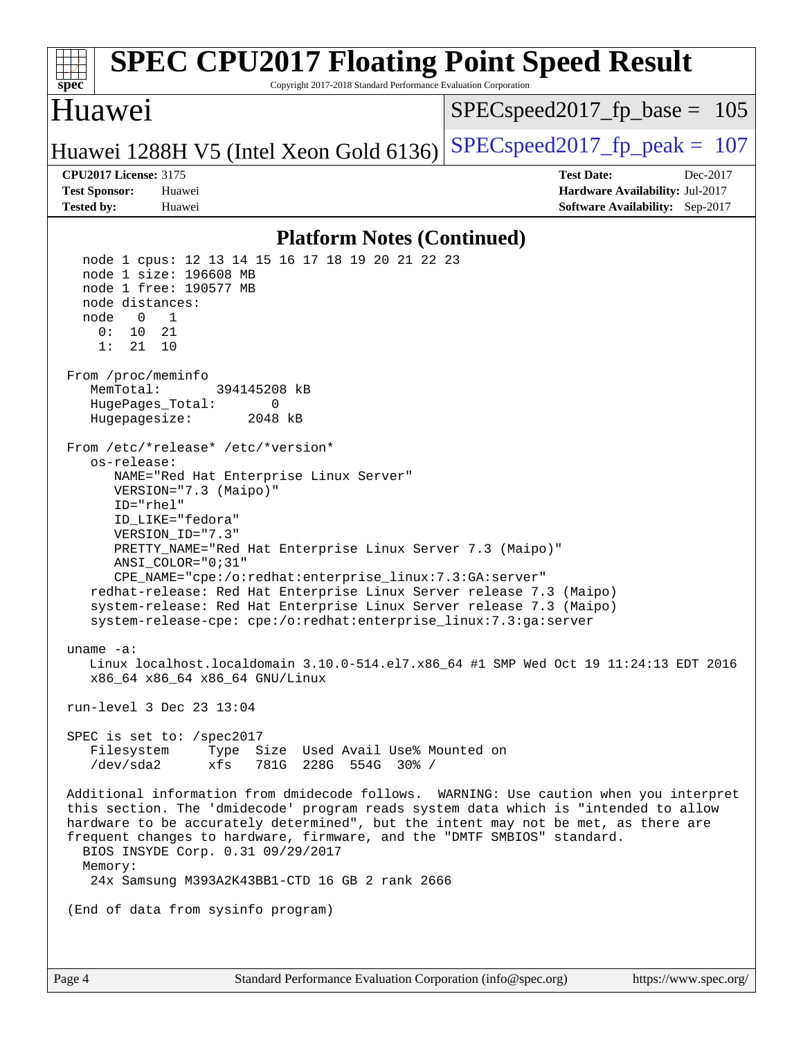| <b>SPEC CPU2017 Floating Point Speed Result</b><br>spec<br>Copyright 2017-2018 Standard Performance Evaluation Corporation                                                                                                                                                                                                                                                                                                                                                                                                                                                                                                                                                                                                                                                                                                                                                                                                                                                                                                                                                                                                                                                                                                                                                                                                                                                                                                                            |                                  |  |  |
|-------------------------------------------------------------------------------------------------------------------------------------------------------------------------------------------------------------------------------------------------------------------------------------------------------------------------------------------------------------------------------------------------------------------------------------------------------------------------------------------------------------------------------------------------------------------------------------------------------------------------------------------------------------------------------------------------------------------------------------------------------------------------------------------------------------------------------------------------------------------------------------------------------------------------------------------------------------------------------------------------------------------------------------------------------------------------------------------------------------------------------------------------------------------------------------------------------------------------------------------------------------------------------------------------------------------------------------------------------------------------------------------------------------------------------------------------------|----------------------------------|--|--|
| Huawei                                                                                                                                                                                                                                                                                                                                                                                                                                                                                                                                                                                                                                                                                                                                                                                                                                                                                                                                                                                                                                                                                                                                                                                                                                                                                                                                                                                                                                                | $SPEC speed2017_f p\_base = 105$ |  |  |
| Huawei 1288H V5 (Intel Xeon Gold 6136)                                                                                                                                                                                                                                                                                                                                                                                                                                                                                                                                                                                                                                                                                                                                                                                                                                                                                                                                                                                                                                                                                                                                                                                                                                                                                                                                                                                                                | $SPEC speed2017_fp\_peak = 107$  |  |  |
| <b>CPU2017 License: 3175</b>                                                                                                                                                                                                                                                                                                                                                                                                                                                                                                                                                                                                                                                                                                                                                                                                                                                                                                                                                                                                                                                                                                                                                                                                                                                                                                                                                                                                                          | <b>Test Date:</b><br>Dec-2017    |  |  |
| <b>Test Sponsor:</b><br>Huawei                                                                                                                                                                                                                                                                                                                                                                                                                                                                                                                                                                                                                                                                                                                                                                                                                                                                                                                                                                                                                                                                                                                                                                                                                                                                                                                                                                                                                        | Hardware Availability: Jul-2017  |  |  |
|                                                                                                                                                                                                                                                                                                                                                                                                                                                                                                                                                                                                                                                                                                                                                                                                                                                                                                                                                                                                                                                                                                                                                                                                                                                                                                                                                                                                                                                       |                                  |  |  |
|                                                                                                                                                                                                                                                                                                                                                                                                                                                                                                                                                                                                                                                                                                                                                                                                                                                                                                                                                                                                                                                                                                                                                                                                                                                                                                                                                                                                                                                       |                                  |  |  |
| Software Availability: Sep-2017<br><b>Tested by:</b><br>Huawei<br><b>Platform Notes (Continued)</b><br>node 1 cpus: 12 13 14 15 16 17 18 19 20 21 22 23<br>node 1 size: 196608 MB<br>node 1 free: 190577 MB<br>node distances:<br>node<br>$\mathbf{0}$<br>$\overline{\phantom{1}}$<br>0:<br>10 21<br>1:<br>21<br>10<br>From /proc/meminfo<br>MemTotal:<br>394145208 kB<br>HugePages_Total:<br>0<br>Hugepagesize:<br>2048 kB<br>From /etc/*release* /etc/*version*<br>os-release:<br>NAME="Red Hat Enterprise Linux Server"<br>VERSION="7.3 (Maipo)"<br>ID="rhel"<br>ID_LIKE="fedora"<br>VERSION_ID="7.3"<br>PRETTY_NAME="Red Hat Enterprise Linux Server 7.3 (Maipo)"<br>ANSI COLOR="0;31"<br>CPE_NAME="cpe:/o:redhat:enterprise_linux:7.3:GA:server"<br>redhat-release: Red Hat Enterprise Linux Server release 7.3 (Maipo)<br>system-release: Red Hat Enterprise Linux Server release 7.3 (Maipo)<br>system-release-cpe: cpe:/o:redhat:enterprise_linux:7.3:ga:server<br>uname $-a$ :<br>Linux localhost.localdomain 3.10.0-514.el7.x86_64 #1 SMP Wed Oct 19 11:24:13 EDT 2016<br>x86_64 x86_64 x86_64 GNU/Linux<br>run-level 3 Dec 23 13:04<br>SPEC is set to: /spec2017<br>Filesystem Type Size Used Avail Use% Mounted on<br>/dev/sda2 xfs 781G 228G 554G 30% /<br>Additional information from dmidecode follows. WARNING: Use caution when you interpret<br>this section. The 'dmidecode' program reads system data which is "intended to allow |                                  |  |  |
| BIOS INSYDE Corp. 0.31 09/29/2017<br>Memory:                                                                                                                                                                                                                                                                                                                                                                                                                                                                                                                                                                                                                                                                                                                                                                                                                                                                                                                                                                                                                                                                                                                                                                                                                                                                                                                                                                                                          |                                  |  |  |
| 24x Samsung M393A2K43BB1-CTD 16 GB 2 rank 2666                                                                                                                                                                                                                                                                                                                                                                                                                                                                                                                                                                                                                                                                                                                                                                                                                                                                                                                                                                                                                                                                                                                                                                                                                                                                                                                                                                                                        |                                  |  |  |
| (End of data from sysinfo program)                                                                                                                                                                                                                                                                                                                                                                                                                                                                                                                                                                                                                                                                                                                                                                                                                                                                                                                                                                                                                                                                                                                                                                                                                                                                                                                                                                                                                    |                                  |  |  |
|                                                                                                                                                                                                                                                                                                                                                                                                                                                                                                                                                                                                                                                                                                                                                                                                                                                                                                                                                                                                                                                                                                                                                                                                                                                                                                                                                                                                                                                       |                                  |  |  |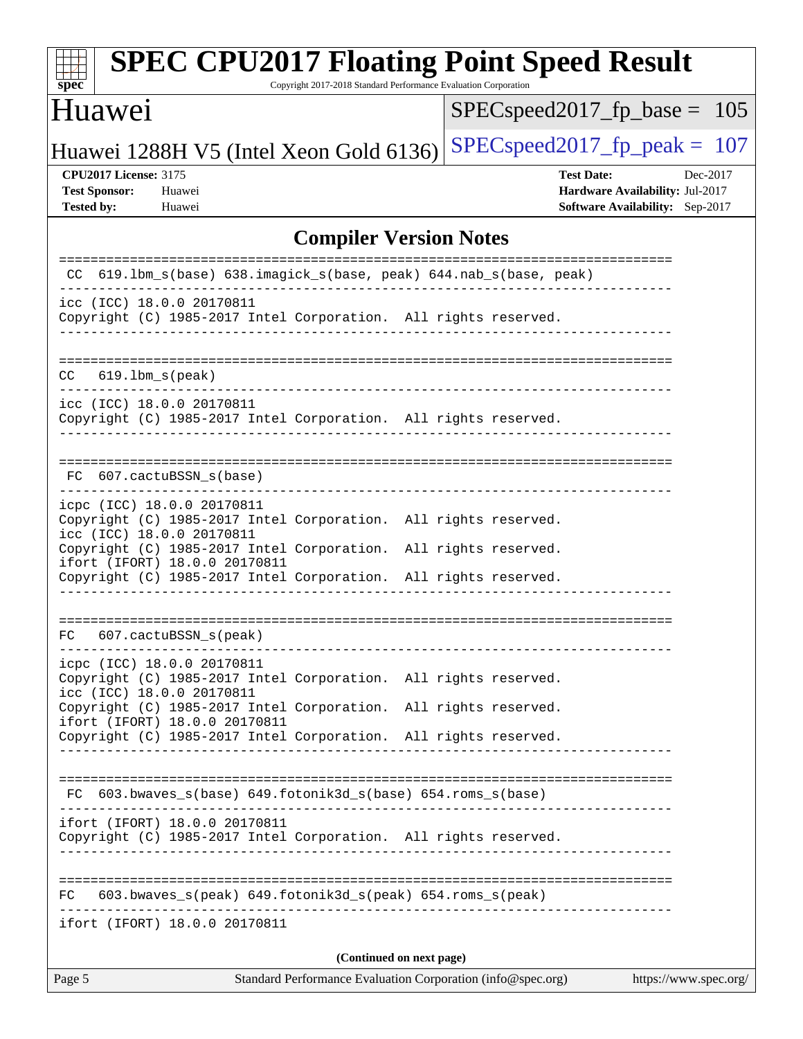| <b>SPEC CPU2017 Floating Point Speed Result</b><br>$s\overline{pec}$<br>Copyright 2017-2018 Standard Performance Evaluation Corporation                                                       |                                                                                                            |  |
|-----------------------------------------------------------------------------------------------------------------------------------------------------------------------------------------------|------------------------------------------------------------------------------------------------------------|--|
| Huawei                                                                                                                                                                                        | $SPEC speed2017_fp\_base = 105$                                                                            |  |
| Huawei 1288H V5 (Intel Xeon Gold 6136)                                                                                                                                                        | $SPEC speed2017_fp_peak = 107$                                                                             |  |
| <b>CPU2017 License: 3175</b><br><b>Test Sponsor:</b><br>Huawei<br><b>Tested by:</b><br>Huawei                                                                                                 | <b>Test Date:</b><br>Dec-2017<br><b>Hardware Availability: Jul-2017</b><br>Software Availability: Sep-2017 |  |
| <b>Compiler Version Notes</b>                                                                                                                                                                 |                                                                                                            |  |
| 619.1bm_s(base) 638.imagick_s(base, peak) 644.nab_s(base, peak)<br>CC.                                                                                                                        |                                                                                                            |  |
| icc (ICC) 18.0.0 20170811<br>Copyright (C) 1985-2017 Intel Corporation. All rights reserved.                                                                                                  |                                                                                                            |  |
| $619.1$ bm_s(peak)<br>CC.                                                                                                                                                                     |                                                                                                            |  |
| icc (ICC) 18.0.0 20170811<br>Copyright (C) 1985-2017 Intel Corporation. All rights reserved.                                                                                                  |                                                                                                            |  |
| 607.cactuBSSN_s(base)<br>FC.                                                                                                                                                                  |                                                                                                            |  |
| icpc (ICC) 18.0.0 20170811<br>Copyright (C) 1985-2017 Intel Corporation. All rights reserved.<br>icc (ICC) 18.0.0 20170811<br>Copyright (C) 1985-2017 Intel Corporation. All rights reserved. |                                                                                                            |  |
| ifort (IFORT) 18.0.0 20170811<br>Copyright (C) 1985-2017 Intel Corporation. All rights reserved.                                                                                              |                                                                                                            |  |
| FC<br>607.cactuBSSN_s(peak)                                                                                                                                                                   |                                                                                                            |  |
| icpc (ICC) 18.0.0 20170811<br>Copyright (C) 1985-2017 Intel Corporation. All rights reserved.<br>icc (ICC) 18.0.0 20170811                                                                    |                                                                                                            |  |
| Copyright (C) 1985-2017 Intel Corporation. All rights reserved.<br>ifort (IFORT) 18.0.0 20170811<br>Copyright (C) 1985-2017 Intel Corporation. All rights reserved.                           |                                                                                                            |  |
| FC 603.bwaves_s(base) 649.fotonik3d_s(base) 654.roms_s(base)                                                                                                                                  |                                                                                                            |  |
| ifort (IFORT) 18.0.0 20170811<br>Copyright (C) 1985-2017 Intel Corporation. All rights reserved.                                                                                              |                                                                                                            |  |
| 603.bwaves_s(peak) 649.fotonik3d_s(peak) 654.roms_s(peak)<br>FC.                                                                                                                              |                                                                                                            |  |
| ifort (IFORT) 18.0.0 20170811                                                                                                                                                                 |                                                                                                            |  |
| (Continued on next page)<br>Page 5<br>Standard Performance Evaluation Corporation (info@spec.org)                                                                                             | https://www.spec.org/                                                                                      |  |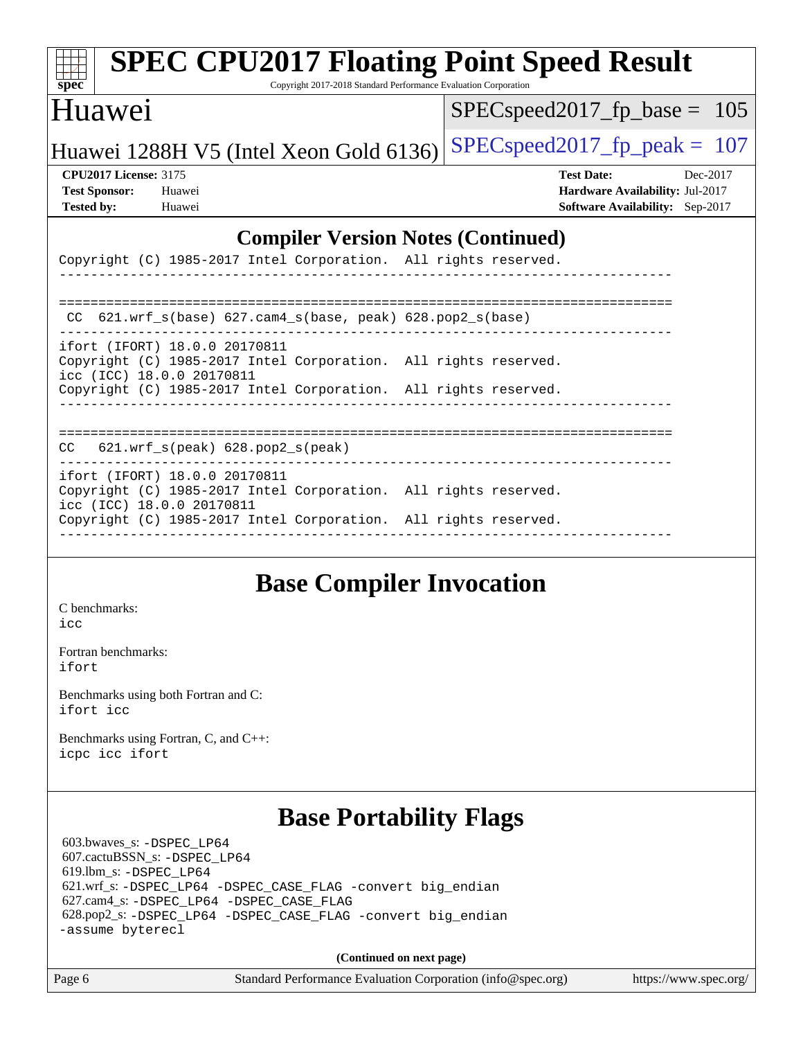| <b>SPEC CPU2017 Floating Point Speed Result</b><br>$Spec^*$<br>Copyright 2017-2018 Standard Performance Evaluation Corporation |                                        |  |  |  |
|--------------------------------------------------------------------------------------------------------------------------------|----------------------------------------|--|--|--|
| Huawei                                                                                                                         | $SPEC speed2017_fp\_base = 105$        |  |  |  |
| $SPEC speed2017_fp\_peak = 107$<br>Huawei 1288H V5 (Intel Xeon Gold 6136)                                                      |                                        |  |  |  |
| <b>CPU2017 License: 3175</b>                                                                                                   | <b>Test Date:</b><br>Dec-2017          |  |  |  |
| <b>Test Sponsor:</b><br>Huawei                                                                                                 | Hardware Availability: Jul-2017        |  |  |  |
| <b>Tested by:</b><br>Huawei                                                                                                    | <b>Software Availability:</b> Sep-2017 |  |  |  |
| <b>Compiler Version Notes (Continued)</b><br>Copyright (C) 1985-2017 Intel Corporation. All rights reserved.                   |                                        |  |  |  |
| 621.wrf $s(base)$ 627.cam4 $s(base, peak)$ 628.pop2 $s(base)$<br>CC.                                                           |                                        |  |  |  |
| ifort (IFORT) 18.0.0 20170811<br>Copyright (C) 1985-2017 Intel Corporation. All rights reserved.<br>icc (ICC) 18.0.0 20170811  |                                        |  |  |  |
| Copyright (C) 1985-2017 Intel Corporation. All rights reserved.                                                                |                                        |  |  |  |

**(Continued on next page)**

Page 6 Standard Performance Evaluation Corporation [\(info@spec.org\)](mailto:info@spec.org) <https://www.spec.org/>

| Copyright (C) 1985-2017 Intel Corporation. All rights reserved.<br>___________________________________                        |  |
|-------------------------------------------------------------------------------------------------------------------------------|--|
|                                                                                                                               |  |
| CC $621.wrf$ s(base) $627.cam4$ s(base, peak) $628.pop2$ s(base)                                                              |  |
| ifort (IFORT) 18.0.0 20170811<br>Copyright (C) 1985-2017 Intel Corporation. All rights reserved.<br>icc (ICC) 18.0.0 20170811 |  |
| Copyright (C) 1985-2017 Intel Corporation. All rights reserved.                                                               |  |
| $CC$ 621.wrf $s$ (peak) 628.pop2 $s$ (peak)                                                                                   |  |
| ifort (IFORT) 18.0.0 20170811<br>Copyright (C) 1985-2017 Intel Corporation. All rights reserved.<br>icc (ICC) 18.0.0 20170811 |  |
| Copyright (C) 1985-2017 Intel Corporation. All rights reserved.                                                               |  |

## **[Base Compiler Invocation](http://www.spec.org/auto/cpu2017/Docs/result-fields.html#BaseCompilerInvocation)**

[C benchmarks](http://www.spec.org/auto/cpu2017/Docs/result-fields.html#Cbenchmarks): [icc](http://www.spec.org/cpu2017/results/res2018q1/cpu2017-20171224-01998.flags.html#user_CCbase_intel_icc_18.0_66fc1ee009f7361af1fbd72ca7dcefbb700085f36577c54f309893dd4ec40d12360134090235512931783d35fd58c0460139e722d5067c5574d8eaf2b3e37e92)

[Fortran benchmarks](http://www.spec.org/auto/cpu2017/Docs/result-fields.html#Fortranbenchmarks): [ifort](http://www.spec.org/cpu2017/results/res2018q1/cpu2017-20171224-01998.flags.html#user_FCbase_intel_ifort_18.0_8111460550e3ca792625aed983ce982f94888b8b503583aa7ba2b8303487b4d8a21a13e7191a45c5fd58ff318f48f9492884d4413fa793fd88dd292cad7027ca)

[Benchmarks using both Fortran and C](http://www.spec.org/auto/cpu2017/Docs/result-fields.html#BenchmarksusingbothFortranandC): [ifort](http://www.spec.org/cpu2017/results/res2018q1/cpu2017-20171224-01998.flags.html#user_CC_FCbase_intel_ifort_18.0_8111460550e3ca792625aed983ce982f94888b8b503583aa7ba2b8303487b4d8a21a13e7191a45c5fd58ff318f48f9492884d4413fa793fd88dd292cad7027ca) [icc](http://www.spec.org/cpu2017/results/res2018q1/cpu2017-20171224-01998.flags.html#user_CC_FCbase_intel_icc_18.0_66fc1ee009f7361af1fbd72ca7dcefbb700085f36577c54f309893dd4ec40d12360134090235512931783d35fd58c0460139e722d5067c5574d8eaf2b3e37e92)

[Benchmarks using Fortran, C, and C++:](http://www.spec.org/auto/cpu2017/Docs/result-fields.html#BenchmarksusingFortranCandCXX) [icpc](http://www.spec.org/cpu2017/results/res2018q1/cpu2017-20171224-01998.flags.html#user_CC_CXX_FCbase_intel_icpc_18.0_c510b6838c7f56d33e37e94d029a35b4a7bccf4766a728ee175e80a419847e808290a9b78be685c44ab727ea267ec2f070ec5dc83b407c0218cded6866a35d07) [icc](http://www.spec.org/cpu2017/results/res2018q1/cpu2017-20171224-01998.flags.html#user_CC_CXX_FCbase_intel_icc_18.0_66fc1ee009f7361af1fbd72ca7dcefbb700085f36577c54f309893dd4ec40d12360134090235512931783d35fd58c0460139e722d5067c5574d8eaf2b3e37e92) [ifort](http://www.spec.org/cpu2017/results/res2018q1/cpu2017-20171224-01998.flags.html#user_CC_CXX_FCbase_intel_ifort_18.0_8111460550e3ca792625aed983ce982f94888b8b503583aa7ba2b8303487b4d8a21a13e7191a45c5fd58ff318f48f9492884d4413fa793fd88dd292cad7027ca)

# **[Base Portability Flags](http://www.spec.org/auto/cpu2017/Docs/result-fields.html#BasePortabilityFlags)**

 603.bwaves\_s: [-DSPEC\\_LP64](http://www.spec.org/cpu2017/results/res2018q1/cpu2017-20171224-01998.flags.html#suite_basePORTABILITY603_bwaves_s_DSPEC_LP64) 607.cactuBSSN\_s: [-DSPEC\\_LP64](http://www.spec.org/cpu2017/results/res2018q1/cpu2017-20171224-01998.flags.html#suite_basePORTABILITY607_cactuBSSN_s_DSPEC_LP64) 619.lbm\_s: [-DSPEC\\_LP64](http://www.spec.org/cpu2017/results/res2018q1/cpu2017-20171224-01998.flags.html#suite_basePORTABILITY619_lbm_s_DSPEC_LP64) 621.wrf\_s: [-DSPEC\\_LP64](http://www.spec.org/cpu2017/results/res2018q1/cpu2017-20171224-01998.flags.html#suite_basePORTABILITY621_wrf_s_DSPEC_LP64) [-DSPEC\\_CASE\\_FLAG](http://www.spec.org/cpu2017/results/res2018q1/cpu2017-20171224-01998.flags.html#b621.wrf_s_baseCPORTABILITY_DSPEC_CASE_FLAG) [-convert big\\_endian](http://www.spec.org/cpu2017/results/res2018q1/cpu2017-20171224-01998.flags.html#user_baseFPORTABILITY621_wrf_s_convert_big_endian_c3194028bc08c63ac5d04de18c48ce6d347e4e562e8892b8bdbdc0214820426deb8554edfa529a3fb25a586e65a3d812c835984020483e7e73212c4d31a38223) 627.cam4\_s: [-DSPEC\\_LP64](http://www.spec.org/cpu2017/results/res2018q1/cpu2017-20171224-01998.flags.html#suite_basePORTABILITY627_cam4_s_DSPEC_LP64) [-DSPEC\\_CASE\\_FLAG](http://www.spec.org/cpu2017/results/res2018q1/cpu2017-20171224-01998.flags.html#b627.cam4_s_baseCPORTABILITY_DSPEC_CASE_FLAG) 628.pop2\_s: [-DSPEC\\_LP64](http://www.spec.org/cpu2017/results/res2018q1/cpu2017-20171224-01998.flags.html#suite_basePORTABILITY628_pop2_s_DSPEC_LP64) [-DSPEC\\_CASE\\_FLAG](http://www.spec.org/cpu2017/results/res2018q1/cpu2017-20171224-01998.flags.html#b628.pop2_s_baseCPORTABILITY_DSPEC_CASE_FLAG) [-convert big\\_endian](http://www.spec.org/cpu2017/results/res2018q1/cpu2017-20171224-01998.flags.html#user_baseFPORTABILITY628_pop2_s_convert_big_endian_c3194028bc08c63ac5d04de18c48ce6d347e4e562e8892b8bdbdc0214820426deb8554edfa529a3fb25a586e65a3d812c835984020483e7e73212c4d31a38223) [-assume byterecl](http://www.spec.org/cpu2017/results/res2018q1/cpu2017-20171224-01998.flags.html#user_baseFPORTABILITY628_pop2_s_assume_byterecl_7e47d18b9513cf18525430bbf0f2177aa9bf368bc7a059c09b2c06a34b53bd3447c950d3f8d6c70e3faf3a05c8557d66a5798b567902e8849adc142926523472)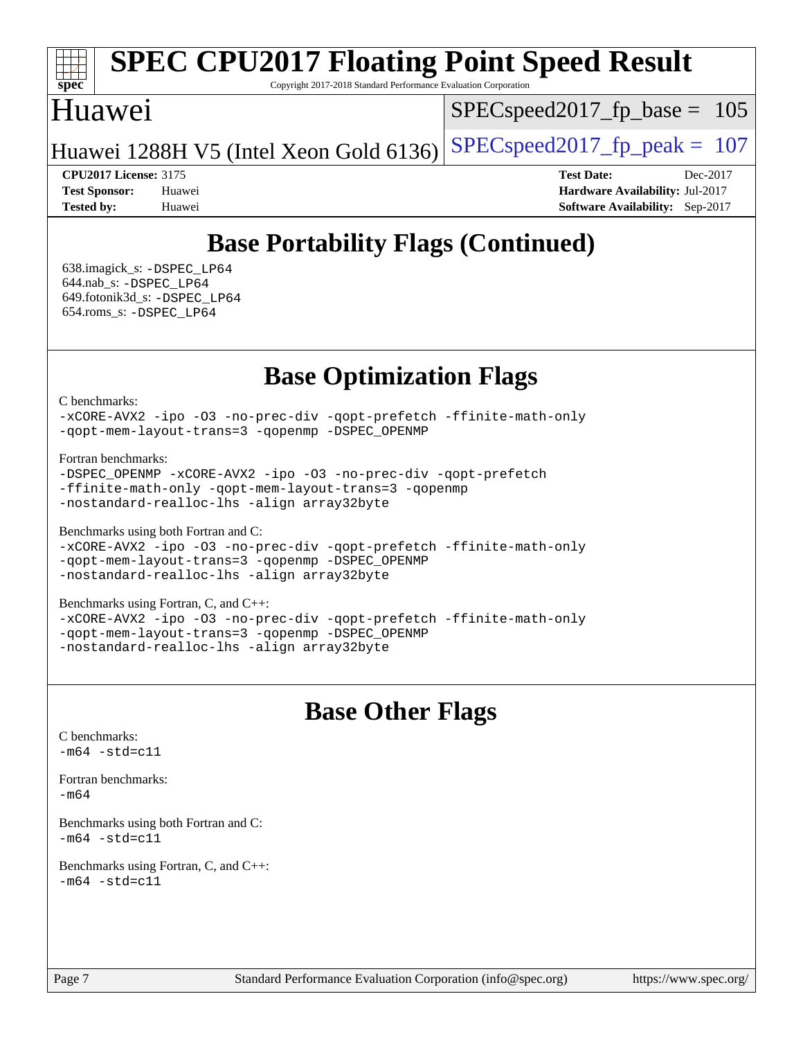# **[spec](http://www.spec.org/)**

# **[SPEC CPU2017 Floating Point Speed Result](http://www.spec.org/auto/cpu2017/Docs/result-fields.html#SPECCPU2017FloatingPointSpeedResult)**

Copyright 2017-2018 Standard Performance Evaluation Corporation

#### Huawei

SPECspeed2017 fp base =  $105$ 

Huawei 1288H V5 (Intel Xeon Gold 6136) SPECspeed 2017 fp peak = 107

**[CPU2017 License:](http://www.spec.org/auto/cpu2017/Docs/result-fields.html#CPU2017License)** 3175 **[Test Date:](http://www.spec.org/auto/cpu2017/Docs/result-fields.html#TestDate)** Dec-2017 **[Test Sponsor:](http://www.spec.org/auto/cpu2017/Docs/result-fields.html#TestSponsor)** Huawei **[Hardware Availability:](http://www.spec.org/auto/cpu2017/Docs/result-fields.html#HardwareAvailability)** Jul-2017 **[Tested by:](http://www.spec.org/auto/cpu2017/Docs/result-fields.html#Testedby)** Huawei **[Software Availability:](http://www.spec.org/auto/cpu2017/Docs/result-fields.html#SoftwareAvailability)** Sep-2017

# **[Base Portability Flags \(Continued\)](http://www.spec.org/auto/cpu2017/Docs/result-fields.html#BasePortabilityFlags)**

 638.imagick\_s: [-DSPEC\\_LP64](http://www.spec.org/cpu2017/results/res2018q1/cpu2017-20171224-01998.flags.html#suite_basePORTABILITY638_imagick_s_DSPEC_LP64) 644.nab\_s: [-DSPEC\\_LP64](http://www.spec.org/cpu2017/results/res2018q1/cpu2017-20171224-01998.flags.html#suite_basePORTABILITY644_nab_s_DSPEC_LP64) 649.fotonik3d\_s: [-DSPEC\\_LP64](http://www.spec.org/cpu2017/results/res2018q1/cpu2017-20171224-01998.flags.html#suite_basePORTABILITY649_fotonik3d_s_DSPEC_LP64) 654.roms\_s: [-DSPEC\\_LP64](http://www.spec.org/cpu2017/results/res2018q1/cpu2017-20171224-01998.flags.html#suite_basePORTABILITY654_roms_s_DSPEC_LP64)

**[Base Optimization Flags](http://www.spec.org/auto/cpu2017/Docs/result-fields.html#BaseOptimizationFlags)**

[C benchmarks](http://www.spec.org/auto/cpu2017/Docs/result-fields.html#Cbenchmarks):

[-xCORE-AVX2](http://www.spec.org/cpu2017/results/res2018q1/cpu2017-20171224-01998.flags.html#user_CCbase_f-xCORE-AVX2) [-ipo](http://www.spec.org/cpu2017/results/res2018q1/cpu2017-20171224-01998.flags.html#user_CCbase_f-ipo) [-O3](http://www.spec.org/cpu2017/results/res2018q1/cpu2017-20171224-01998.flags.html#user_CCbase_f-O3) [-no-prec-div](http://www.spec.org/cpu2017/results/res2018q1/cpu2017-20171224-01998.flags.html#user_CCbase_f-no-prec-div) [-qopt-prefetch](http://www.spec.org/cpu2017/results/res2018q1/cpu2017-20171224-01998.flags.html#user_CCbase_f-qopt-prefetch) [-ffinite-math-only](http://www.spec.org/cpu2017/results/res2018q1/cpu2017-20171224-01998.flags.html#user_CCbase_f_finite_math_only_cb91587bd2077682c4b38af759c288ed7c732db004271a9512da14a4f8007909a5f1427ecbf1a0fb78ff2a814402c6114ac565ca162485bbcae155b5e4258871) [-qopt-mem-layout-trans=3](http://www.spec.org/cpu2017/results/res2018q1/cpu2017-20171224-01998.flags.html#user_CCbase_f-qopt-mem-layout-trans_de80db37974c74b1f0e20d883f0b675c88c3b01e9d123adea9b28688d64333345fb62bc4a798493513fdb68f60282f9a726aa07f478b2f7113531aecce732043) [-qopenmp](http://www.spec.org/cpu2017/results/res2018q1/cpu2017-20171224-01998.flags.html#user_CCbase_qopenmp_16be0c44f24f464004c6784a7acb94aca937f053568ce72f94b139a11c7c168634a55f6653758ddd83bcf7b8463e8028bb0b48b77bcddc6b78d5d95bb1df2967) [-DSPEC\\_OPENMP](http://www.spec.org/cpu2017/results/res2018q1/cpu2017-20171224-01998.flags.html#suite_CCbase_DSPEC_OPENMP)

[Fortran benchmarks](http://www.spec.org/auto/cpu2017/Docs/result-fields.html#Fortranbenchmarks):

-DSPEC OPENMP [-xCORE-AVX2](http://www.spec.org/cpu2017/results/res2018q1/cpu2017-20171224-01998.flags.html#user_FCbase_f-xCORE-AVX2) [-ipo](http://www.spec.org/cpu2017/results/res2018q1/cpu2017-20171224-01998.flags.html#user_FCbase_f-ipo) [-O3](http://www.spec.org/cpu2017/results/res2018q1/cpu2017-20171224-01998.flags.html#user_FCbase_f-O3) [-no-prec-div](http://www.spec.org/cpu2017/results/res2018q1/cpu2017-20171224-01998.flags.html#user_FCbase_f-no-prec-div) [-qopt-prefetch](http://www.spec.org/cpu2017/results/res2018q1/cpu2017-20171224-01998.flags.html#user_FCbase_f-qopt-prefetch) [-ffinite-math-only](http://www.spec.org/cpu2017/results/res2018q1/cpu2017-20171224-01998.flags.html#user_FCbase_f_finite_math_only_cb91587bd2077682c4b38af759c288ed7c732db004271a9512da14a4f8007909a5f1427ecbf1a0fb78ff2a814402c6114ac565ca162485bbcae155b5e4258871) [-qopt-mem-layout-trans=3](http://www.spec.org/cpu2017/results/res2018q1/cpu2017-20171224-01998.flags.html#user_FCbase_f-qopt-mem-layout-trans_de80db37974c74b1f0e20d883f0b675c88c3b01e9d123adea9b28688d64333345fb62bc4a798493513fdb68f60282f9a726aa07f478b2f7113531aecce732043) [-qopenmp](http://www.spec.org/cpu2017/results/res2018q1/cpu2017-20171224-01998.flags.html#user_FCbase_qopenmp_16be0c44f24f464004c6784a7acb94aca937f053568ce72f94b139a11c7c168634a55f6653758ddd83bcf7b8463e8028bb0b48b77bcddc6b78d5d95bb1df2967) [-nostandard-realloc-lhs](http://www.spec.org/cpu2017/results/res2018q1/cpu2017-20171224-01998.flags.html#user_FCbase_f_2003_std_realloc_82b4557e90729c0f113870c07e44d33d6f5a304b4f63d4c15d2d0f1fab99f5daaed73bdb9275d9ae411527f28b936061aa8b9c8f2d63842963b95c9dd6426b8a) [-align array32byte](http://www.spec.org/cpu2017/results/res2018q1/cpu2017-20171224-01998.flags.html#user_FCbase_align_array32byte_b982fe038af199962ba9a80c053b8342c548c85b40b8e86eb3cc33dee0d7986a4af373ac2d51c3f7cf710a18d62fdce2948f201cd044323541f22fc0fffc51b6)

[Benchmarks using both Fortran and C](http://www.spec.org/auto/cpu2017/Docs/result-fields.html#BenchmarksusingbothFortranandC):

[-xCORE-AVX2](http://www.spec.org/cpu2017/results/res2018q1/cpu2017-20171224-01998.flags.html#user_CC_FCbase_f-xCORE-AVX2) [-ipo](http://www.spec.org/cpu2017/results/res2018q1/cpu2017-20171224-01998.flags.html#user_CC_FCbase_f-ipo) [-O3](http://www.spec.org/cpu2017/results/res2018q1/cpu2017-20171224-01998.flags.html#user_CC_FCbase_f-O3) [-no-prec-div](http://www.spec.org/cpu2017/results/res2018q1/cpu2017-20171224-01998.flags.html#user_CC_FCbase_f-no-prec-div) [-qopt-prefetch](http://www.spec.org/cpu2017/results/res2018q1/cpu2017-20171224-01998.flags.html#user_CC_FCbase_f-qopt-prefetch) [-ffinite-math-only](http://www.spec.org/cpu2017/results/res2018q1/cpu2017-20171224-01998.flags.html#user_CC_FCbase_f_finite_math_only_cb91587bd2077682c4b38af759c288ed7c732db004271a9512da14a4f8007909a5f1427ecbf1a0fb78ff2a814402c6114ac565ca162485bbcae155b5e4258871) [-qopt-mem-layout-trans=3](http://www.spec.org/cpu2017/results/res2018q1/cpu2017-20171224-01998.flags.html#user_CC_FCbase_f-qopt-mem-layout-trans_de80db37974c74b1f0e20d883f0b675c88c3b01e9d123adea9b28688d64333345fb62bc4a798493513fdb68f60282f9a726aa07f478b2f7113531aecce732043) [-qopenmp](http://www.spec.org/cpu2017/results/res2018q1/cpu2017-20171224-01998.flags.html#user_CC_FCbase_qopenmp_16be0c44f24f464004c6784a7acb94aca937f053568ce72f94b139a11c7c168634a55f6653758ddd83bcf7b8463e8028bb0b48b77bcddc6b78d5d95bb1df2967) [-DSPEC\\_OPENMP](http://www.spec.org/cpu2017/results/res2018q1/cpu2017-20171224-01998.flags.html#suite_CC_FCbase_DSPEC_OPENMP) [-nostandard-realloc-lhs](http://www.spec.org/cpu2017/results/res2018q1/cpu2017-20171224-01998.flags.html#user_CC_FCbase_f_2003_std_realloc_82b4557e90729c0f113870c07e44d33d6f5a304b4f63d4c15d2d0f1fab99f5daaed73bdb9275d9ae411527f28b936061aa8b9c8f2d63842963b95c9dd6426b8a) [-align array32byte](http://www.spec.org/cpu2017/results/res2018q1/cpu2017-20171224-01998.flags.html#user_CC_FCbase_align_array32byte_b982fe038af199962ba9a80c053b8342c548c85b40b8e86eb3cc33dee0d7986a4af373ac2d51c3f7cf710a18d62fdce2948f201cd044323541f22fc0fffc51b6)

[Benchmarks using Fortran, C, and C++:](http://www.spec.org/auto/cpu2017/Docs/result-fields.html#BenchmarksusingFortranCandCXX)

[-xCORE-AVX2](http://www.spec.org/cpu2017/results/res2018q1/cpu2017-20171224-01998.flags.html#user_CC_CXX_FCbase_f-xCORE-AVX2) [-ipo](http://www.spec.org/cpu2017/results/res2018q1/cpu2017-20171224-01998.flags.html#user_CC_CXX_FCbase_f-ipo) [-O3](http://www.spec.org/cpu2017/results/res2018q1/cpu2017-20171224-01998.flags.html#user_CC_CXX_FCbase_f-O3) [-no-prec-div](http://www.spec.org/cpu2017/results/res2018q1/cpu2017-20171224-01998.flags.html#user_CC_CXX_FCbase_f-no-prec-div) [-qopt-prefetch](http://www.spec.org/cpu2017/results/res2018q1/cpu2017-20171224-01998.flags.html#user_CC_CXX_FCbase_f-qopt-prefetch) [-ffinite-math-only](http://www.spec.org/cpu2017/results/res2018q1/cpu2017-20171224-01998.flags.html#user_CC_CXX_FCbase_f_finite_math_only_cb91587bd2077682c4b38af759c288ed7c732db004271a9512da14a4f8007909a5f1427ecbf1a0fb78ff2a814402c6114ac565ca162485bbcae155b5e4258871) [-qopt-mem-layout-trans=3](http://www.spec.org/cpu2017/results/res2018q1/cpu2017-20171224-01998.flags.html#user_CC_CXX_FCbase_f-qopt-mem-layout-trans_de80db37974c74b1f0e20d883f0b675c88c3b01e9d123adea9b28688d64333345fb62bc4a798493513fdb68f60282f9a726aa07f478b2f7113531aecce732043) [-qopenmp](http://www.spec.org/cpu2017/results/res2018q1/cpu2017-20171224-01998.flags.html#user_CC_CXX_FCbase_qopenmp_16be0c44f24f464004c6784a7acb94aca937f053568ce72f94b139a11c7c168634a55f6653758ddd83bcf7b8463e8028bb0b48b77bcddc6b78d5d95bb1df2967) [-DSPEC\\_OPENMP](http://www.spec.org/cpu2017/results/res2018q1/cpu2017-20171224-01998.flags.html#suite_CC_CXX_FCbase_DSPEC_OPENMP) [-nostandard-realloc-lhs](http://www.spec.org/cpu2017/results/res2018q1/cpu2017-20171224-01998.flags.html#user_CC_CXX_FCbase_f_2003_std_realloc_82b4557e90729c0f113870c07e44d33d6f5a304b4f63d4c15d2d0f1fab99f5daaed73bdb9275d9ae411527f28b936061aa8b9c8f2d63842963b95c9dd6426b8a) [-align array32byte](http://www.spec.org/cpu2017/results/res2018q1/cpu2017-20171224-01998.flags.html#user_CC_CXX_FCbase_align_array32byte_b982fe038af199962ba9a80c053b8342c548c85b40b8e86eb3cc33dee0d7986a4af373ac2d51c3f7cf710a18d62fdce2948f201cd044323541f22fc0fffc51b6)

### **[Base Other Flags](http://www.spec.org/auto/cpu2017/Docs/result-fields.html#BaseOtherFlags)**

[C benchmarks](http://www.spec.org/auto/cpu2017/Docs/result-fields.html#Cbenchmarks):  $-m64 - std= c11$  $-m64 - std= c11$ [Fortran benchmarks](http://www.spec.org/auto/cpu2017/Docs/result-fields.html#Fortranbenchmarks): [-m64](http://www.spec.org/cpu2017/results/res2018q1/cpu2017-20171224-01998.flags.html#user_FCbase_intel_intel64_18.0_af43caccfc8ded86e7699f2159af6efc7655f51387b94da716254467f3c01020a5059329e2569e4053f409e7c9202a7efc638f7a6d1ffb3f52dea4a3e31d82ab) [Benchmarks using both Fortran and C](http://www.spec.org/auto/cpu2017/Docs/result-fields.html#BenchmarksusingbothFortranandC):  $-m64 - std = c11$  $-m64 - std = c11$ [Benchmarks using Fortran, C, and C++:](http://www.spec.org/auto/cpu2017/Docs/result-fields.html#BenchmarksusingFortranCandCXX)  $-m64 - std = c11$  $-m64 - std = c11$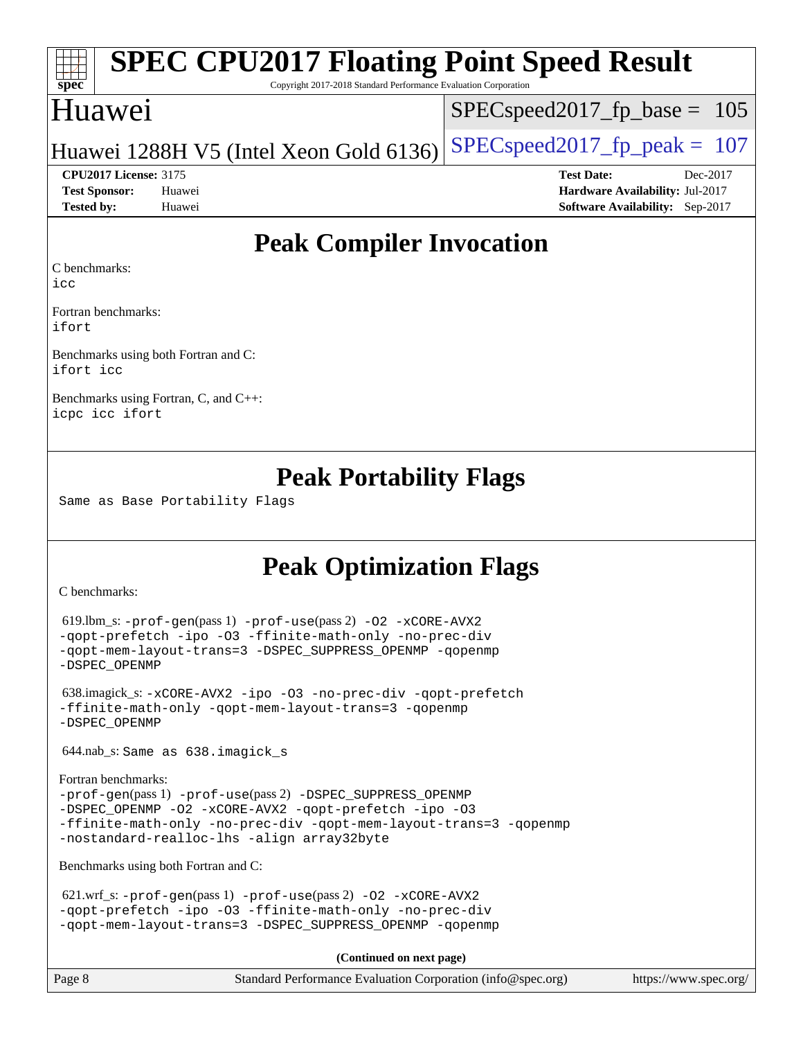# **[spec](http://www.spec.org/)**

# **[SPEC CPU2017 Floating Point Speed Result](http://www.spec.org/auto/cpu2017/Docs/result-fields.html#SPECCPU2017FloatingPointSpeedResult)**

Copyright 2017-2018 Standard Performance Evaluation Corporation

## Huawei

SPECspeed2017 fp base =  $105$ 

#### Huawei 1288H V5 (Intel Xeon Gold 6136) SPECspeed 2017 fp peak = 107

**[Test Sponsor:](http://www.spec.org/auto/cpu2017/Docs/result-fields.html#TestSponsor)** Huawei **[Hardware Availability:](http://www.spec.org/auto/cpu2017/Docs/result-fields.html#HardwareAvailability)** Jul-2017 **[Tested by:](http://www.spec.org/auto/cpu2017/Docs/result-fields.html#Testedby)** Huawei **[Software Availability:](http://www.spec.org/auto/cpu2017/Docs/result-fields.html#SoftwareAvailability)** Sep-2017

**[CPU2017 License:](http://www.spec.org/auto/cpu2017/Docs/result-fields.html#CPU2017License)** 3175 **[Test Date:](http://www.spec.org/auto/cpu2017/Docs/result-fields.html#TestDate)** Dec-2017

**[Peak Compiler Invocation](http://www.spec.org/auto/cpu2017/Docs/result-fields.html#PeakCompilerInvocation)**

[C benchmarks](http://www.spec.org/auto/cpu2017/Docs/result-fields.html#Cbenchmarks):

[icc](http://www.spec.org/cpu2017/results/res2018q1/cpu2017-20171224-01998.flags.html#user_CCpeak_intel_icc_18.0_66fc1ee009f7361af1fbd72ca7dcefbb700085f36577c54f309893dd4ec40d12360134090235512931783d35fd58c0460139e722d5067c5574d8eaf2b3e37e92)

[Fortran benchmarks](http://www.spec.org/auto/cpu2017/Docs/result-fields.html#Fortranbenchmarks): [ifort](http://www.spec.org/cpu2017/results/res2018q1/cpu2017-20171224-01998.flags.html#user_FCpeak_intel_ifort_18.0_8111460550e3ca792625aed983ce982f94888b8b503583aa7ba2b8303487b4d8a21a13e7191a45c5fd58ff318f48f9492884d4413fa793fd88dd292cad7027ca)

[Benchmarks using both Fortran and C](http://www.spec.org/auto/cpu2017/Docs/result-fields.html#BenchmarksusingbothFortranandC): [ifort](http://www.spec.org/cpu2017/results/res2018q1/cpu2017-20171224-01998.flags.html#user_CC_FCpeak_intel_ifort_18.0_8111460550e3ca792625aed983ce982f94888b8b503583aa7ba2b8303487b4d8a21a13e7191a45c5fd58ff318f48f9492884d4413fa793fd88dd292cad7027ca) [icc](http://www.spec.org/cpu2017/results/res2018q1/cpu2017-20171224-01998.flags.html#user_CC_FCpeak_intel_icc_18.0_66fc1ee009f7361af1fbd72ca7dcefbb700085f36577c54f309893dd4ec40d12360134090235512931783d35fd58c0460139e722d5067c5574d8eaf2b3e37e92)

[Benchmarks using Fortran, C, and C++](http://www.spec.org/auto/cpu2017/Docs/result-fields.html#BenchmarksusingFortranCandCXX): [icpc](http://www.spec.org/cpu2017/results/res2018q1/cpu2017-20171224-01998.flags.html#user_CC_CXX_FCpeak_intel_icpc_18.0_c510b6838c7f56d33e37e94d029a35b4a7bccf4766a728ee175e80a419847e808290a9b78be685c44ab727ea267ec2f070ec5dc83b407c0218cded6866a35d07) [icc](http://www.spec.org/cpu2017/results/res2018q1/cpu2017-20171224-01998.flags.html#user_CC_CXX_FCpeak_intel_icc_18.0_66fc1ee009f7361af1fbd72ca7dcefbb700085f36577c54f309893dd4ec40d12360134090235512931783d35fd58c0460139e722d5067c5574d8eaf2b3e37e92) [ifort](http://www.spec.org/cpu2017/results/res2018q1/cpu2017-20171224-01998.flags.html#user_CC_CXX_FCpeak_intel_ifort_18.0_8111460550e3ca792625aed983ce982f94888b8b503583aa7ba2b8303487b4d8a21a13e7191a45c5fd58ff318f48f9492884d4413fa793fd88dd292cad7027ca)

## **[Peak Portability Flags](http://www.spec.org/auto/cpu2017/Docs/result-fields.html#PeakPortabilityFlags)**

Same as Base Portability Flags

## **[Peak Optimization Flags](http://www.spec.org/auto/cpu2017/Docs/result-fields.html#PeakOptimizationFlags)**

[C benchmarks](http://www.spec.org/auto/cpu2017/Docs/result-fields.html#Cbenchmarks):

```
 619.lbm_s: -prof-gen(pass 1) -prof-use(pass 2) -O2 -xCORE-AVX2
-qopt-prefetch -ipo -O3 -ffinite-math-only -no-prec-div
-qopt-mem-layout-trans=3 -DSPEC_SUPPRESS_OPENMP -qopenmp
-DSPEC_OPENMP
```

```
 638.imagick_s: -xCORE-AVX2 -ipo -O3 -no-prec-div -qopt-prefetch
-ffinite-math-only -qopt-mem-layout-trans=3 -qopenmp
-DSPEC_OPENMP
```
644.nab\_s: Same as 638.imagick\_s

```
Fortran benchmarks: 
-prof-gen(pass 1) -prof-use(pass 2) -DSPEC_SUPPRESS_OPENMP
-DSPEC_OPENMP -O2 -xCORE-AVX2 -qopt-prefetch -ipo -O3
-ffinite-math-only -no-prec-div -qopt-mem-layout-trans=3 -qopenmp
-nostandard-realloc-lhs -align array32byte
```
[Benchmarks using both Fortran and C](http://www.spec.org/auto/cpu2017/Docs/result-fields.html#BenchmarksusingbothFortranandC):

```
621.wrf_s: -prof-use-O2-xCORE-AVX2-qopt-prefetch -ipo -O3 -ffinite-math-only -no-prec-div
-qopt-mem-layout-trans=3 -DSPEC_SUPPRESS_OPENMP -qopenmp
```
**(Continued on next page)**